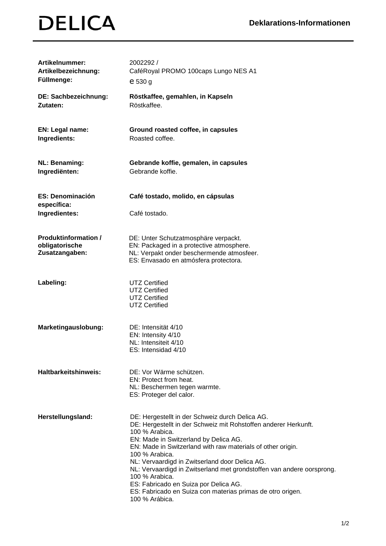## **DELICA**

| <b>Artikelnummer:</b><br>Artikelbezeichnung:<br>Füllmenge:      | 2002292 /<br>CaféRoyal PROMO 100caps Lungo NES A1<br>e 530 g                                                                                                                                                                                                                                                                                                                                                                                                                                                                         |
|-----------------------------------------------------------------|--------------------------------------------------------------------------------------------------------------------------------------------------------------------------------------------------------------------------------------------------------------------------------------------------------------------------------------------------------------------------------------------------------------------------------------------------------------------------------------------------------------------------------------|
| DE: Sachbezeichnung:<br>Zutaten:                                | Röstkaffee, gemahlen, in Kapseln<br>Röstkaffee.                                                                                                                                                                                                                                                                                                                                                                                                                                                                                      |
| <b>EN: Legal name:</b><br>Ingredients:                          | Ground roasted coffee, in capsules<br>Roasted coffee.                                                                                                                                                                                                                                                                                                                                                                                                                                                                                |
| <b>NL: Benaming:</b><br>Ingrediënten:                           | Gebrande koffie, gemalen, in capsules<br>Gebrande koffie.                                                                                                                                                                                                                                                                                                                                                                                                                                                                            |
| <b>ES: Denominación</b><br>específica:                          | Café tostado, molido, en cápsulas                                                                                                                                                                                                                                                                                                                                                                                                                                                                                                    |
| Ingredientes:                                                   | Café tostado.                                                                                                                                                                                                                                                                                                                                                                                                                                                                                                                        |
| <b>Produktinformation /</b><br>obligatorische<br>Zusatzangaben: | DE: Unter Schutzatmosphäre verpackt.<br>EN: Packaged in a protective atmosphere.<br>NL: Verpakt onder beschermende atmosfeer.<br>ES: Envasado en atmósfera protectora.                                                                                                                                                                                                                                                                                                                                                               |
| Labeling:                                                       | <b>UTZ Certified</b><br><b>UTZ Certified</b><br><b>UTZ Certified</b><br><b>UTZ Certified</b>                                                                                                                                                                                                                                                                                                                                                                                                                                         |
| Marketingauslobung:                                             | DE: Intensität 4/10<br>EN: Intensity 4/10<br>NL: Intensiteit 4/10<br>ES: Intensidad 4/10                                                                                                                                                                                                                                                                                                                                                                                                                                             |
| <b>Haltbarkeitshinweis:</b>                                     | DE: Vor Wärme schützen.<br>EN: Protect from heat.<br>NL: Beschermen tegen warmte.<br>ES: Proteger del calor.                                                                                                                                                                                                                                                                                                                                                                                                                         |
| Herstellungsland:                                               | DE: Hergestellt in der Schweiz durch Delica AG.<br>DE: Hergestellt in der Schweiz mit Rohstoffen anderer Herkunft.<br>100 % Arabica.<br>EN: Made in Switzerland by Delica AG.<br>EN: Made in Switzerland with raw materials of other origin.<br>100 % Arabica.<br>NL: Vervaardigd in Zwitserland door Delica AG.<br>NL: Vervaardigd in Zwitserland met grondstoffen van andere oorsprong.<br>100 % Arabica.<br>ES: Fabricado en Suiza por Delica AG.<br>ES: Fabricado en Suiza con materias primas de otro origen.<br>100 % Arábica. |